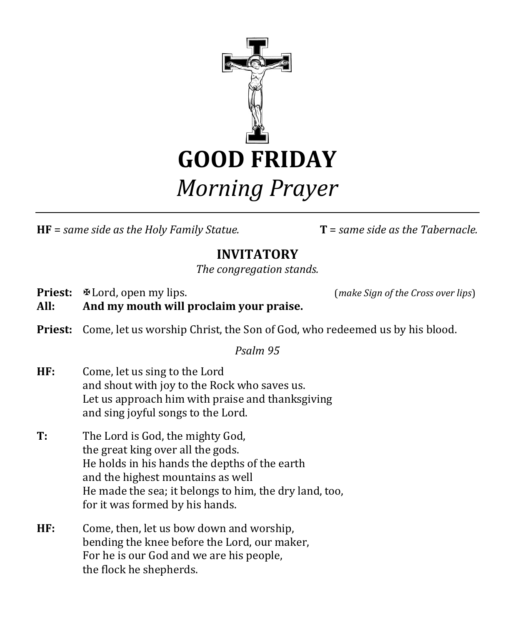

**HF** = *same side as the Holy Family Statue.* **T** = *same side as the Tabernacle.*

## **INVITATORY**

*The congregation stands.*

**Priest:**  $\mathbb{E}$ Lord, open my lips. (*make Sign of the Cross over lips*) **All: And my mouth will proclaim your praise.**

**Priest:** Come, let us worship Christ, the Son of God, who redeemed us by his blood.

*Psalm 95*

- **HF:** Come, let us sing to the Lord and shout with joy to the Rock who saves us. Let us approach him with praise and thanksgiving and sing joyful songs to the Lord.
- **T:** The Lord is God, the mighty God, the great king over all the gods. He holds in his hands the depths of the earth and the highest mountains as well He made the sea; it belongs to him, the dry land, too, for it was formed by his hands.
- **HF:** Come, then, let us bow down and worship, bending the knee before the Lord, our maker, For he is our God and we are his people, the flock he shepherds.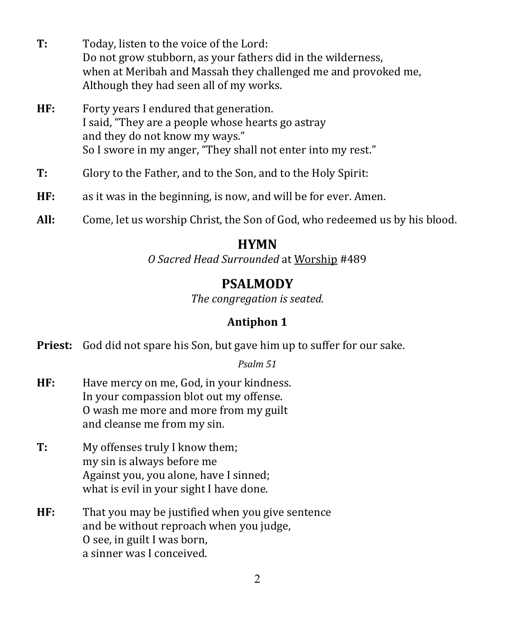- **T:** Today, listen to the voice of the Lord: Do not grow stubborn, as your fathers did in the wilderness, when at Meribah and Massah they challenged me and provoked me, Although they had seen all of my works.
- **HF:** Forty years I endured that generation. I said, "They are a people whose hearts go astray and they do not know my ways." So I swore in my anger, "They shall not enter into my rest."
- **T:** Glory to the Father, and to the Son, and to the Holy Spirit:
- **HF:** as it was in the beginning, is now, and will be for ever. Amen.
- **All:** Come, let us worship Christ, the Son of God, who redeemed us by his blood.

### **HYMN**

*O Sacred Head Surrounded* at Worship #489

## **PSALMODY**

*The congregation is seated.*

### **Antiphon 1**

**Priest:** God did not spare his Son, but gave him up to suffer for our sake.

#### *Psalm 51*

- **HF:** Have mercy on me, God, in your kindness. In your compassion blot out my offense. O wash me more and more from my guilt and cleanse me from my sin.
- **T:** My offenses truly I know them; my sin is always before me Against you, you alone, have I sinned; what is evil in your sight I have done.
- **HF:** That you may be justified when you give sentence and be without reproach when you judge, O see, in guilt I was born, a sinner was I conceived.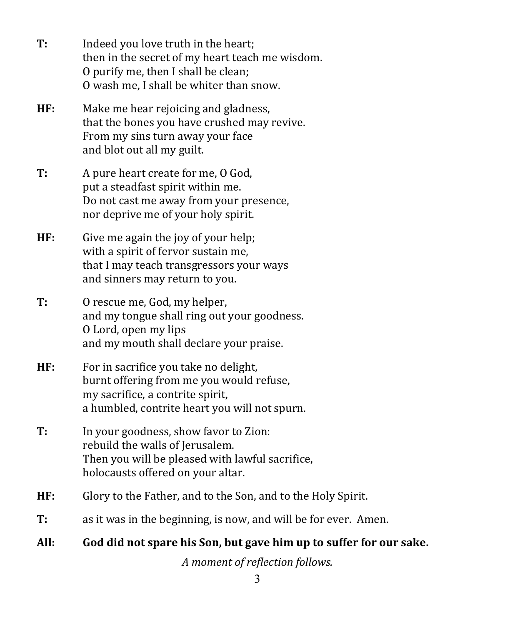- **T:** Indeed you love truth in the heart; then in the secret of my heart teach me wisdom. O purify me, then I shall be clean; O wash me, I shall be whiter than snow.
- **HF:** Make me hear rejoicing and gladness, that the bones you have crushed may revive. From my sins turn away your face and blot out all my guilt.
- **T:** A pure heart create for me, O God, put a steadfast spirit within me. Do not cast me away from your presence, nor deprive me of your holy spirit.
- **HF:** Give me again the joy of your help; with a spirit of fervor sustain me, that I may teach transgressors your ways and sinners may return to you.
- **T:** O rescue me, God, my helper, and my tongue shall ring out your goodness. O Lord, open my lips and my mouth shall declare your praise.
- **HF:** For in sacrifice you take no delight, burnt offering from me you would refuse, my sacrifice, a contrite spirit, a humbled, contrite heart you will not spurn.
- **T:** In your goodness, show favor to Zion: rebuild the walls of Jerusalem. Then you will be pleased with lawful sacrifice, holocausts offered on your altar.
- **HF:** Glory to the Father, and to the Son, and to the Holy Spirit.
- **T:** as it was in the beginning, is now, and will be for ever. Amen.
- **All: God did not spare his Son, but gave him up to suffer for our sake.**

*A moment of reflection follows.*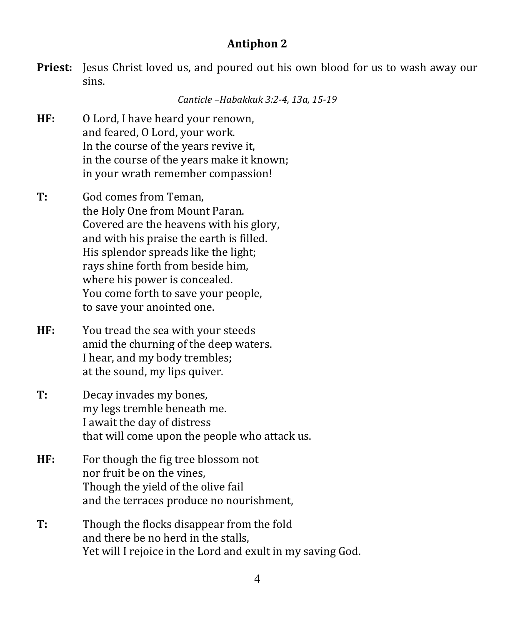#### **Antiphon 2**

**Priest:** Jesus Christ loved us, and poured out his own blood for us to wash away our sins.

*Canticle –Habakkuk 3:2-4, 13a, 15-19*

- **HF:** O Lord, I have heard your renown, and feared, O Lord, your work. In the course of the years revive it, in the course of the years make it known; in your wrath remember compassion!
- **T:** God comes from Teman, the Holy One from Mount Paran. Covered are the heavens with his glory, and with his praise the earth is filled. His splendor spreads like the light; rays shine forth from beside him, where his power is concealed. You come forth to save your people, to save your anointed one.
- **HF:** You tread the sea with your steeds amid the churning of the deep waters. I hear, and my body trembles; at the sound, my lips quiver.
- **T:** Decay invades my bones, my legs tremble beneath me. I await the day of distress that will come upon the people who attack us.
- **HF:** For though the fig tree blossom not nor fruit be on the vines, Though the yield of the olive fail and the terraces produce no nourishment,
- **T:** Though the flocks disappear from the fold and there be no herd in the stalls, Yet will I rejoice in the Lord and exult in my saving God.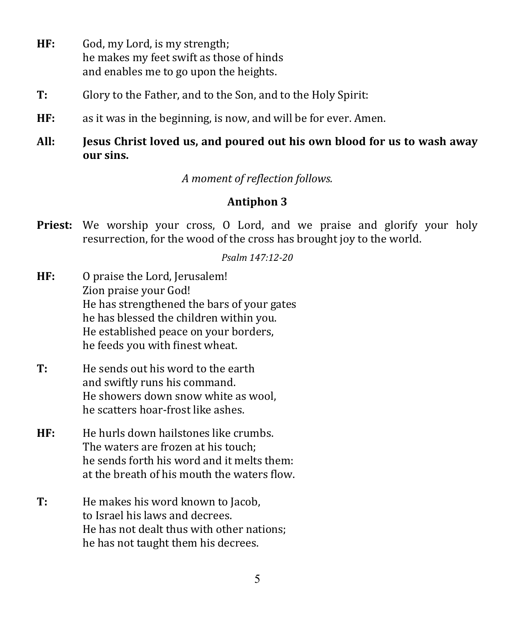- **HF:** God, my Lord, is my strength; he makes my feet swift as those of hinds and enables me to go upon the heights.
- **T:** Glory to the Father, and to the Son, and to the Holy Spirit:
- **HF:** as it was in the beginning, is now, and will be for ever. Amen.
- **All: Jesus Christ loved us, and poured out his own blood for us to wash away our sins.**

*A moment of reflection follows.*

## **Antiphon 3**

**Priest:** We worship your cross, O Lord, and we praise and glorify your holy resurrection, for the wood of the cross has brought joy to the world.

*Psalm 147:12-20*

- **HF:** O praise the Lord, Jerusalem! Zion praise your God! He has strengthened the bars of your gates he has blessed the children within you. He established peace on your borders, he feeds you with finest wheat.
- **T:** He sends out his word to the earth and swiftly runs his command. He showers down snow white as wool, he scatters hoar-frost like ashes.
- **HF:** He hurls down hailstones like crumbs. The waters are frozen at his touch; he sends forth his word and it melts them: at the breath of his mouth the waters flow.
- **T:** He makes his word known to Jacob, to Israel his laws and decrees. He has not dealt thus with other nations; he has not taught them his decrees.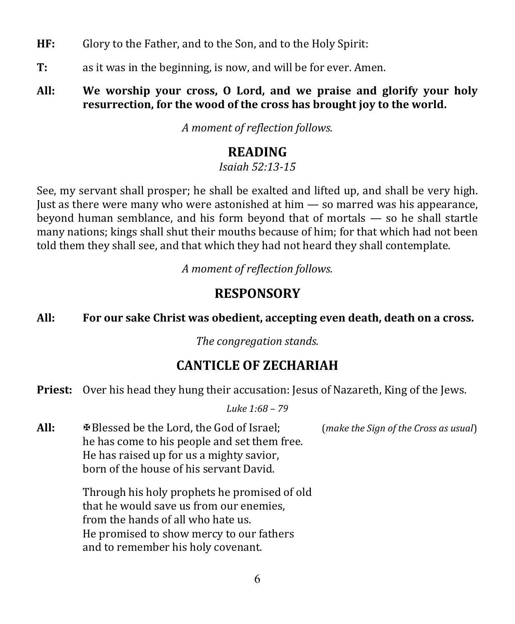- **HF:** Glory to the Father, and to the Son, and to the Holy Spirit:
- **T:** as it was in the beginning, is now, and will be for ever. Amen.

#### **All: We worship your cross, O Lord, and we praise and glorify your holy resurrection, for the wood of the cross has brought joy to the world.**

*A moment of reflection follows.*

# **READING**

*Isaiah 52:13-15*

See, my servant shall prosper; he shall be exalted and lifted up, and shall be very high. Just as there were many who were astonished at  $him - so$  marred was his appearance, beyond human semblance, and his form beyond that of mortals — so he shall startle many nations; kings shall shut their mouths because of him; for that which had not been told them they shall see, and that which they had not heard they shall contemplate.

*A moment of reflection follows.*

# **RESPONSORY**

**All: For our sake Christ was obedient, accepting even death, death on a cross.**

*The congregation stands.*

# **CANTICLE OF ZECHARIAH**

**Priest:** Over his head they hung their accusation: Jesus of Nazareth, King of the Jews.

*Luke 1:68 – 79*

**All:** Blessed be the Lord, the God of Israel; (*make the Sign of the Cross as usual*) he has come to his people and set them free. He has raised up for us a mighty savior, born of the house of his servant David.

> Through his holy prophets he promised of old that he would save us from our enemies, from the hands of all who hate us. He promised to show mercy to our fathers and to remember his holy covenant.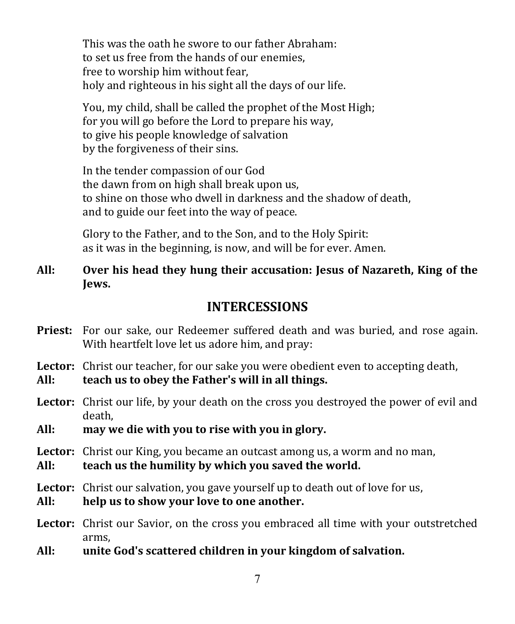This was the oath he swore to our father Abraham: to set us free from the hands of our enemies, free to worship him without fear, holy and righteous in his sight all the days of our life.

You, my child, shall be called the prophet of the Most High; for you will go before the Lord to prepare his way, to give his people knowledge of salvation by the forgiveness of their sins.

In the tender compassion of our God the dawn from on high shall break upon us, to shine on those who dwell in darkness and the shadow of death, and to guide our feet into the way of peace.

Glory to the Father, and to the Son, and to the Holy Spirit: as it was in the beginning, is now, and will be for ever. Amen.

**All: Over his head they hung their accusation: Jesus of Nazareth, King of the Jews.**

### **INTERCESSIONS**

**Priest:** For our sake, our Redeemer suffered death and was buried, and rose again. With heartfelt love let us adore him, and pray:

**Lector:** Christ our teacher, for our sake you were obedient even to accepting death,

**All: teach us to obey the Father's will in all things.**

**Lector:** Christ our life, by your death on the cross you destroyed the power of evil and death,

**All: may we die with you to rise with you in glory.**

**Lector:** Christ our King, you became an outcast among us, a worm and no man,

**All: teach us the humility by which you saved the world.**

**Lector:** Christ our salvation, you gave yourself up to death out of love for us,

- **All: help us to show your love to one another.**
- **Lector:** Christ our Savior, on the cross you embraced all time with your outstretched arms,
- **All: unite God's scattered children in your kingdom of salvation.**